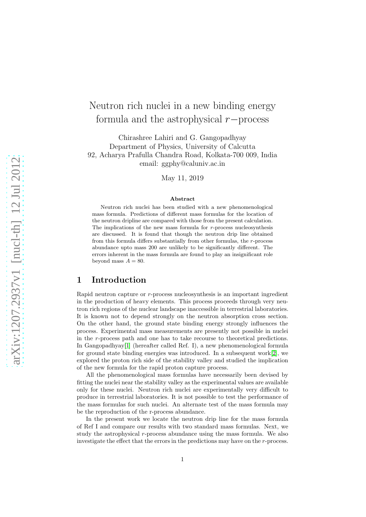# Neutron rich nuclei in a new binding energy formula and the astrophysical r−process

Chirashree Lahiri and G. Gangopadhyay Department of Physics, University of Calcutta 92, Acharya Prafulla Chandra Road, Kolkata-700 009, India email: ggphy@caluniv.ac.in

May 11, 2019

#### Abstract

Neutron rich nuclei has been studied with a new phenomenological mass formula. Predictions of different mass formulas for the location of the neutron dripline are compared with those from the present calculation. The implications of the new mass formula for  $r$ -process nucleosynthesis are discussed. It is found that though the neutron drip line obtained from this formula differs substantially from other formulas, the r-process abundance upto mass 200 are unlikely to be significantly different. The errors inherent in the mass formula are found to play an insignificant role beyond mass  $A = 80$ .

## 1 Introduction

Rapid neutron capture or r-process nucleosynthesis is an important ingredient in the production of heavy elements. This process proceeds through very neutron rich regions of the nuclear landscape inaccessible in terrestrial laboratories. It is known not to depend strongly on the neutron absorption cross section. On the other hand, the ground state binding energy strongly influences the process. Experimental mass measurements are presently not possible in nuclei in the r-process path and one has to take recourse to theoretical predictions. In Gangopadhyay[\[1\]](#page-6-0) (hereafter called Ref. I), a new phenomenological formula for ground state binding energies was introduced. In a subsequent work[\[2\]](#page-6-1), we explored the proton rich side of the stability valley and studied the implication of the new formula for the rapid proton capture process.

All the phenomenological mass formulas have necessarily been devised by fitting the nuclei near the stability valley as the experimental values are available only for these nuclei. Neutron rich nuclei are experimentally very difficult to produce in terrestrial laboratories. It is not possible to test the performance of the mass formulas for such nuclei. An alternate test of the mass formula may be the reproduction of the r-process abundance.

In the present work we locate the neutron drip line for the mass formula of Ref I and compare our results with two standard mass formulas. Next, we study the astrophysical r-process abundance using the mass formula. We also investigate the effect that the errors in the predictions may have on the r-process.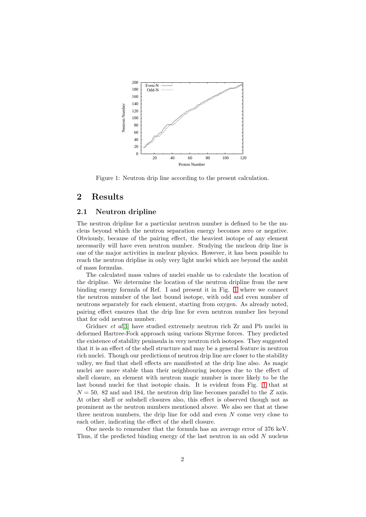

<span id="page-1-0"></span>Figure 1: Neutron drip line according to the present calculation.

## 2 Results

### 2.1 Neutron dripline

The neutron dripline for a particular neutron number is defined to be the nucleus beyond which the neutron separation energy becomes zero or negative. Obviously, because of the pairing effect, the heaviest isotope of any element necessarily will have even neutron number. Studying the nucleon drip line is one of the major activities in nuclear physics. However, it has been possible to reach the neutron dripline in only very light nuclei which are beyond the ambit of mass formulas.

The calculated mass values of nuclei enable us to calculate the location of the dripline. We determine the location of the neutron dripline from the new binding energy formula of Ref. I and present it in Fig. [1](#page-1-0) where we connect the neutron number of the last bound isotope, with odd and even number of neutrons separately for each element, starting from oxygen. As already noted, pairing effect ensures that the drip line for even neutron number lies beyond that for odd neutron number.

Gridnev et al<br/>[\[3\]](#page-6-2) have studied extremely neutron rich Zr and Pb nuclei in deformed Hartree-Fock approach using various Skyrme forces. They predicted the existence of stability peninsula in very neutron rich isotopes. They suggested that it is an effect of the shell structure and may be a general feature in neutron rich nuclei. Though our predictions of neutron drip line are closer to the stability valley, we find that shell effects are manifested at the drip line also. As magic nuclei are more stable than their neighbouring isotopes due to the effect of shell closure, an element with neutron magic number is more likely to be the last bound nuclei for that isotopic chain. It is evident from Fig. [1](#page-1-0) that at  $N = 50$ , 82 and and 184, the neutron drip line becomes parallel to the Z axis. At other shell or subshell closures also, this effect is observed though not as prominent as the neutron numbers mentioned above. We also see that at these three neutron numbers, the drip line for odd and even  $N$  come very close to each other, indicating the effect of the shell closure.

One needs to remember that the formula has an average error of 376 keV. Thus, if the predicted binding energy of the last neutron in an odd  $N$  nucleus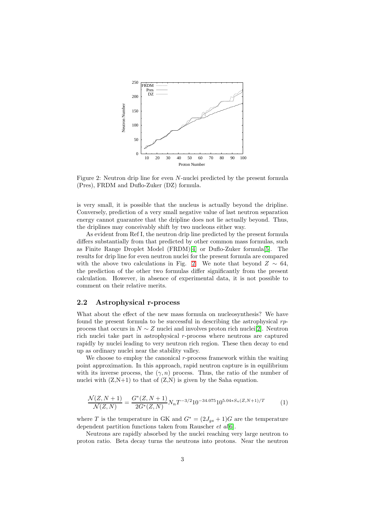

<span id="page-2-0"></span>Figure 2: Neutron drip line for even N-nuclei predicted by the present formula (Pres), FRDM and Duflo-Zuker (DZ) formula.

is very small, it is possible that the nucleus is actually beyond the dripline. Conversely, prediction of a very small negative value of last neutron separation energy cannot guarantee that the dripline does not lie actually beyond. Thus, the driplines may conceivably shift by two nucleons either way.

As evident from Ref I, the neutron drip line predicted by the present formula differs substantially from that predicted by other common mass formulas, such as Finite Range Droplet Model (FRDM)[\[4\]](#page-6-3) or Duflo-Zuker formula[\[5\]](#page-6-4). The results for drip line for even neutron nuclei for the present formula are compared with the above two calculations in Fig. [2.](#page-2-0) We note that beyond  $Z \sim 64$ , the prediction of the other two formulas differ significantly from the present calculation. However, in absence of experimental data, it is not possible to comment on their relative merits.

### 2.2 Astrophysical r-process

What about the effect of the new mass formula on nucleosynthesis? We have found the present formula to be successful in describing the astrophysical rpprocess that occurs in  $N \sim Z$  nuclei and involves proton rich nuclei[\[2\]](#page-6-1). Neutron rich nuclei take part in astrophysical  $r$ -process where neutrons are captured rapidly by nuclei leading to very neutron rich region. These then decay to end up as ordinary nuclei near the stability valley.

We choose to employ the canonical r-process framework within the waiting point approximation. In this approach, rapid neutron capture is in equilibrium with its inverse process, the  $(\gamma, n)$  process. Thus, the ratio of the number of nuclei with  $(Z,N+1)$  to that of  $(Z,N)$  is given by the Saha equation.

$$
\frac{\mathcal{N}(Z, N+1)}{\mathcal{N}(Z, N)} = \frac{G^*(Z, N+1)}{2G^*(Z, N)} N_n T^{-3/2} 10^{-34.075} 10^{5.04 \times S_n(Z, N+1)/T}
$$
(1)

where T is the temperature in GK and  $G^* = (2J_{gs} + 1)G$  are the temperature dependent partition functions taken from Rauscher  $et \text{ }al[6].$  $et \text{ }al[6].$  $et \text{ }al[6].$ 

Neutrons are rapidly absorbed by the nuclei reaching very large neutron to proton ratio. Beta decay turns the neutrons into protons. Near the neutron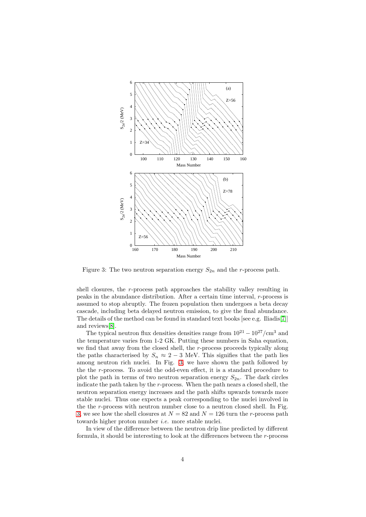

<span id="page-3-0"></span>Figure 3: The two neutron separation energy  $S_{2n}$  and the *r*-process path.

shell closures, the r-process path approaches the stability valley resulting in peaks in the abundance distribution. After a certain time interval, r-process is assumed to stop abruptly. The frozen population then undergoes a beta decay cascade, including beta delayed neutron emission, to give the final abundance. The details of the method can be found in standard text books [see e.g. Iliadis[\[7\]](#page-6-6)] and reviews[\[8\]](#page-6-7).

The typical neutron flux densities densities range from  $10^{21} - 10^{27}/\text{cm}^3$  and the temperature varies from 1-2 GK. Putting these numbers in Saha equation, we find that away from the closed shell, the r-process proceeds typically along the paths characterised by  $S_n \approx 2 - 3$  MeV. This signifies that the path lies among neutron rich nuclei. In Fig. [3,](#page-3-0) we have shown the path followed by the the r-process. To avoid the odd-even effect, it is a standard procedure to plot the path in terms of two neutron separation energy  $S_{2n}$ . The dark circles indicate the path taken by the r-process. When the path nears a closed shell, the neutron separation energy increases and the path shifts upwards towards more stable nuclei. Thus one expects a peak corresponding to the nuclei involved in the the r-process with neutron number close to a neutron closed shell. In Fig. [3,](#page-3-0) we see how the shell closures at  $N = 82$  and  $N = 126$  turn the r-process path towards higher proton number i.e. more stable nuclei.

In view of the difference between the neutron drip line predicted by different formula, it should be interesting to look at the differences between the r-process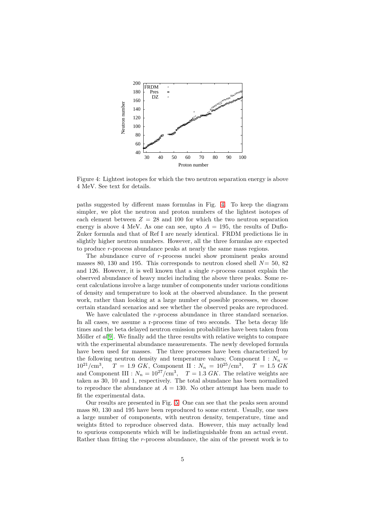

<span id="page-4-0"></span>Figure 4: Lightest isotopes for which the two neutron separation energy is above 4 MeV. See text for details.

paths suggested by different mass formulas in Fig. [4.](#page-4-0) To keep the diagram simpler, we plot the neutron and proton numbers of the lightest isotopes of each element between  $Z = 28$  and 100 for which the two neutron separation energy is above 4 MeV. As one can see, upto  $A = 195$ , the results of Duflo-Zuker formula and that of Ref I are nearly identical. FRDM predictions lie in slightly higher neutron numbers. However, all the three formulas are expected to produce r-process abundance peaks at nearly the same mass regions.

The abundance curve of r-process nuclei show prominent peaks around masses 80, 130 and 195. This corresponds to neutron closed shell  $N= 50, 82$ and 126. However, it is well known that a single  $r$ -process cannot explain the observed abundance of heavy nuclei including the above three peaks. Some recent calculations involve a large number of components under various conditions of density and temperature to look at the observed abundance. In the present work, rather than looking at a large number of possible processes, we choose certain standard scenarios and see whether the observed peaks are reproduced.

We have calculated the r-process abundance in three standard scenarios. In all cases, we assume a r-process time of two seconds. The beta decay life times and the beta delayed neutron emission probabilities have been taken from Möller *et al*[\[9\]](#page-6-8). We finally add the three results with relative weights to compare with the experimental abundance measurements. The newly developed formula have been used for masses. The three processes have been characterized by the following neutron density and temperature values; Component I :  $N_n$  =  $10^{21}/\text{cm}^3$ ,  $T = 1.9 \; GK, \; Component \; II: N_n = 10^{25}/\text{cm}^3,$  $T = 1.5 \text{ } GK$ and Component III :  $N_n = 10^{27} / \text{cm}^3$ ,  $T = 1.3 \text{ } GK$ . The relative weights are taken as 30, 10 and 1, respectively. The total abundance has been normalized to reproduce the abundance at  $A = 130$ . No other attempt has been made to fit the experimental data.

Our results are presented in Fig. [5.](#page-5-0) One can see that the peaks seen around mass 80, 130 and 195 have been reproduced to some extent. Usually, one uses a large number of components, with neutron density, temperature, time and weights fitted to reproduce observed data. However, this may actually lead to spurious components which will be indistinguishable from an actual event. Rather than fitting the r-process abundance, the aim of the present work is to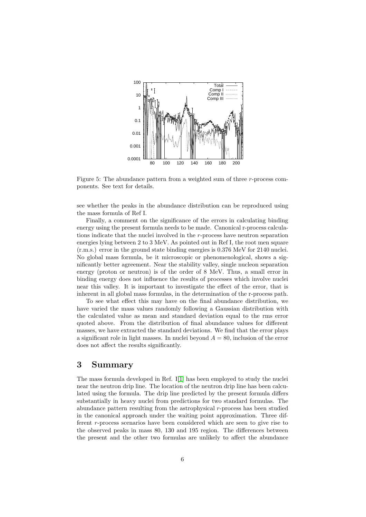

<span id="page-5-0"></span>Figure 5: The abundance pattern from a weighted sum of three r-process components. See text for details.

see whether the peaks in the abundance distribution can be reproduced using the mass formula of Ref I.

Finally, a comment on the significance of the errors in calculating binding energy using the present formula needs to be made. Canonical r-process calculations indicate that the nuclei involved in the r-process have neutron separation energies lying between 2 to 3 MeV. As pointed out in Ref I, the root men square (r.m.s.) error in the ground state binding energies is 0.376 MeV for 2140 nuclei. No global mass formula, be it microscopic or phenomenological, shows a significantly better agreement. Near the stability valley, single nucleon separation energy (proton or neutron) is of the order of 8 MeV. Thus, a small error in binding energy does not influence the results of processes which involve nuclei near this valley. It is important to investigate the effect of the error, that is inherent in all global mass formulas, in the determination of the r-process path.

To see what effect this may have on the final abundance distribution, we have varied the mass values randomly following a Gaussian distribution with the calculated value as mean and standard deviation equal to the rms error quoted above. From the distribution of final abundance values for different masses, we have extracted the standard deviations. We find that the error plays a significant role in light masses. In nuclei beyond  $A = 80$ , inclusion of the error does not affect the results significantly.

## 3 Summary

The mass formula developed in Ref.I[\[1\]](#page-6-0) has been employed to study the nuclei near the neutron drip line. The location of the neutron drip line has been calculated using the formula. The drip line predicted by the present formula differs substantially in heavy nuclei from predictions for two standard formulas. The abundance pattern resulting from the astrophysical  $r$ -process has been studied in the canonical approach under the waiting point approximation. Three different r-process scenarios have been considered which are seen to give rise to the observed peaks in mass 80, 130 and 195 region. The differences between the present and the other two formulas are unlikely to affect the abundance